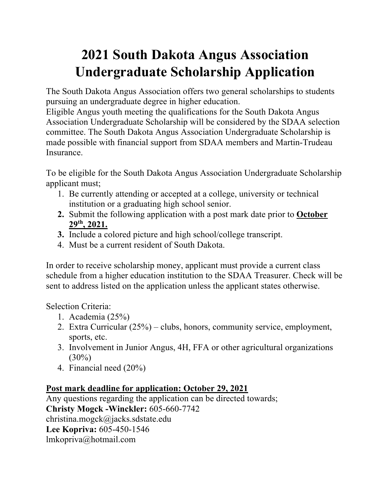## **2021 South Dakota Angus Association Undergraduate Scholarship Application**

The South Dakota Angus Association offers two general scholarships to students pursuing an undergraduate degree in higher education.

Eligible Angus youth meeting the qualifications for the South Dakota Angus Association Undergraduate Scholarship will be considered by the SDAA selection committee. The South Dakota Angus Association Undergraduate Scholarship is made possible with financial support from SDAA members and Martin-Trudeau Insurance.

To be eligible for the South Dakota Angus Association Undergraduate Scholarship applicant must;

- 1. Be currently attending or accepted at a college, university or technical institution or a graduating high school senior.
- **2.** Submit the following application with a post mark date prior to **October 29th, 2021.**
- **3.** Include a colored picture and high school/college transcript.
- 4. Must be a current resident of South Dakota.

In order to receive scholarship money, applicant must provide a current class schedule from a higher education institution to the SDAA Treasurer. Check will be sent to address listed on the application unless the applicant states otherwise.

Selection Criteria:

- 1. Academia (25%)
- 2. Extra Curricular (25%) clubs, honors, community service, employment, sports, etc.
- 3. Involvement in Junior Angus, 4H, FFA or other agricultural organizations  $(30\%)$
- 4. Financial need (20%)

### **Post mark deadline for application: October 29, 2021**

Any questions regarding the application can be directed towards; **Christy Mogck -Winckler:** 605-660-7742 christina.mogck@jacks.sdstate.edu **Lee Kopriva:** 605-450-1546 lmkopriva@hotmail.com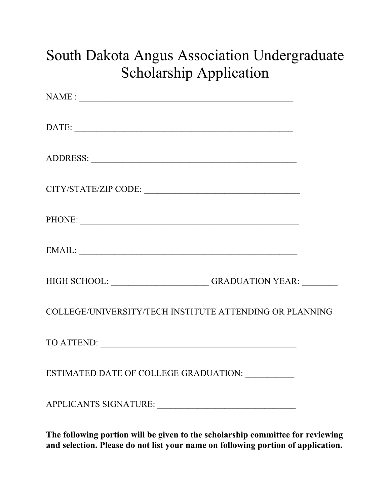# South Dakota Angus Association Undergraduate Scholarship Application

| CITY/STATE/ZIP CODE:                                            |  |
|-----------------------------------------------------------------|--|
| PHONE:                                                          |  |
|                                                                 |  |
| HIGH SCHOOL: _______________________GRADUATION YEAR: __________ |  |
| COLLEGE/UNIVERSITY/TECH INSTITUTE ATTENDING OR PLANNING         |  |
|                                                                 |  |
| ESTIMATED DATE OF COLLEGE GRADUATION: ___________               |  |
|                                                                 |  |

**The following portion will be given to the scholarship committee for reviewing and selection. Please do not list your name on following portion of application.**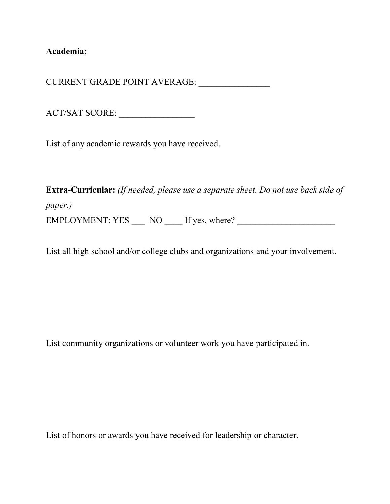**Academia:** 

CURRENT GRADE POINT AVERAGE: \_\_\_\_\_\_\_\_\_\_\_\_\_\_\_\_

ACT/SAT SCORE: \_\_\_\_\_\_\_\_\_\_\_\_\_\_\_\_\_

List of any academic rewards you have received.

**Extra-Curricular:** *(If needed, please use a separate sheet. Do not use back side of paper.)* EMPLOYMENT: YES \_\_\_ NO \_\_\_\_ If yes, where? \_\_\_\_\_\_\_\_\_\_\_\_\_\_\_\_\_\_\_\_\_\_

List all high school and/or college clubs and organizations and your involvement.

List community organizations or volunteer work you have participated in.

List of honors or awards you have received for leadership or character.